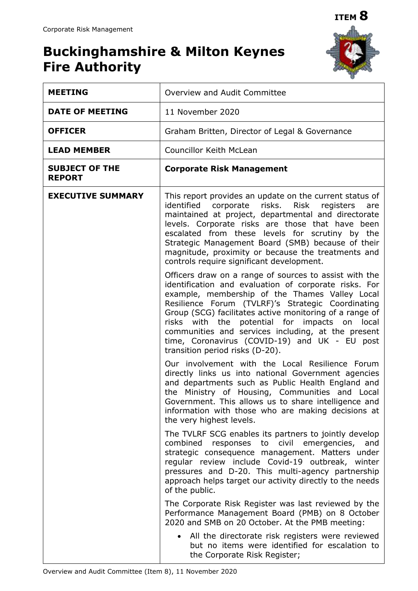# **Buckinghamshire & Milton Keynes Fire Authority**



| <b>MEETING</b>                         | Overview and Audit Committee                                                                                                                                                                                                                                                                                                                                                                                                                                                 |  |  |  |  |  |
|----------------------------------------|------------------------------------------------------------------------------------------------------------------------------------------------------------------------------------------------------------------------------------------------------------------------------------------------------------------------------------------------------------------------------------------------------------------------------------------------------------------------------|--|--|--|--|--|
| <b>DATE OF MEETING</b>                 | 11 November 2020                                                                                                                                                                                                                                                                                                                                                                                                                                                             |  |  |  |  |  |
| <b>OFFICER</b>                         | Graham Britten, Director of Legal & Governance                                                                                                                                                                                                                                                                                                                                                                                                                               |  |  |  |  |  |
| <b>LEAD MEMBER</b>                     | <b>Councillor Keith McLean</b>                                                                                                                                                                                                                                                                                                                                                                                                                                               |  |  |  |  |  |
| <b>SUBJECT OF THE</b><br><b>REPORT</b> | <b>Corporate Risk Management</b>                                                                                                                                                                                                                                                                                                                                                                                                                                             |  |  |  |  |  |
| <b>EXECUTIVE SUMMARY</b>               | This report provides an update on the current status of<br>identified corporate risks. Risk registers<br>are<br>maintained at project, departmental and directorate<br>levels. Corporate risks are those that have been<br>escalated from these levels for scrutiny by the<br>Strategic Management Board (SMB) because of their<br>magnitude, proximity or because the treatments and<br>controls require significant development.                                           |  |  |  |  |  |
|                                        | Officers draw on a range of sources to assist with the<br>identification and evaluation of corporate risks. For<br>example, membership of the Thames Valley Local<br>Resilience Forum (TVLRF)'s Strategic Coordinating<br>Group (SCG) facilitates active monitoring of a range of<br>risks with the potential for impacts on local<br>communities and services including, at the present<br>time, Coronavirus (COVID-19) and UK - EU post<br>transition period risks (D-20). |  |  |  |  |  |
|                                        | Our involvement with the Local Resilience Forum<br>directly links us into national Government agencies<br>and departments such as Public Health England and<br>the Ministry of Housing, Communities and Local<br>Government. This allows us to share intelligence and<br>information with those who are making decisions at<br>the very highest levels.                                                                                                                      |  |  |  |  |  |
|                                        | The TVLRF SCG enables its partners to jointly develop<br>combined<br>to civil<br>responses<br>emergencies,<br>and<br>strategic consequence management. Matters under<br>regular review include Covid-19 outbreak, winter<br>pressures and D-20. This multi-agency partnership<br>approach helps target our activity directly to the needs<br>of the public.                                                                                                                  |  |  |  |  |  |
|                                        | The Corporate Risk Register was last reviewed by the<br>Performance Management Board (PMB) on 8 October<br>2020 and SMB on 20 October. At the PMB meeting:                                                                                                                                                                                                                                                                                                                   |  |  |  |  |  |
|                                        | All the directorate risk registers were reviewed<br>but no items were identified for escalation to<br>the Corporate Risk Register;                                                                                                                                                                                                                                                                                                                                           |  |  |  |  |  |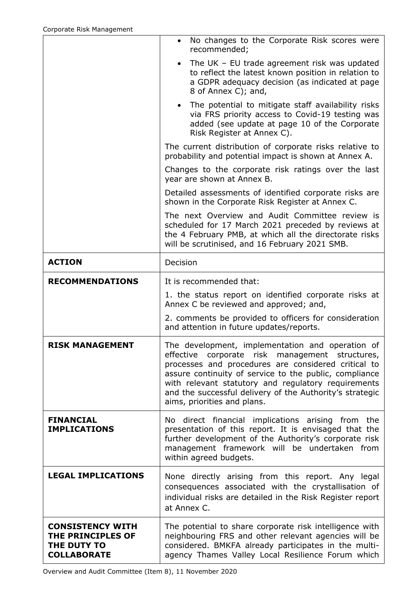|                                                                                   | No changes to the Corporate Risk scores were<br>recommended;                                                                                                                                                                                                                                                                                                           |
|-----------------------------------------------------------------------------------|------------------------------------------------------------------------------------------------------------------------------------------------------------------------------------------------------------------------------------------------------------------------------------------------------------------------------------------------------------------------|
|                                                                                   | The UK $-$ EU trade agreement risk was updated<br>$\bullet$<br>to reflect the latest known position in relation to<br>a GDPR adequacy decision (as indicated at page<br>8 of Annex C); and,                                                                                                                                                                            |
|                                                                                   | • The potential to mitigate staff availability risks<br>via FRS priority access to Covid-19 testing was<br>added (see update at page 10 of the Corporate<br>Risk Register at Annex C).                                                                                                                                                                                 |
|                                                                                   | The current distribution of corporate risks relative to<br>probability and potential impact is shown at Annex A.                                                                                                                                                                                                                                                       |
|                                                                                   | Changes to the corporate risk ratings over the last<br>year are shown at Annex B.                                                                                                                                                                                                                                                                                      |
|                                                                                   | Detailed assessments of identified corporate risks are<br>shown in the Corporate Risk Register at Annex C.                                                                                                                                                                                                                                                             |
|                                                                                   | The next Overview and Audit Committee review is<br>scheduled for 17 March 2021 preceded by reviews at<br>the 4 February PMB, at which all the directorate risks<br>will be scrutinised, and 16 February 2021 SMB.                                                                                                                                                      |
| <b>ACTION</b>                                                                     | Decision                                                                                                                                                                                                                                                                                                                                                               |
| <b>RECOMMENDATIONS</b>                                                            | It is recommended that:                                                                                                                                                                                                                                                                                                                                                |
|                                                                                   | 1. the status report on identified corporate risks at<br>Annex C be reviewed and approved; and,                                                                                                                                                                                                                                                                        |
|                                                                                   | 2. comments be provided to officers for consideration<br>and attention in future updates/reports.                                                                                                                                                                                                                                                                      |
| <b>RISK MANAGEMENT</b>                                                            | The development, implementation and operation of<br>effective corporate risk management structures,<br>processes and procedures are considered critical to<br>assure continuity of service to the public, compliance<br>with relevant statutory and regulatory requirements<br>and the successful delivery of the Authority's strategic<br>aims, priorities and plans. |
| <b>FINANCIAL</b><br><b>IMPLICATIONS</b>                                           | No direct financial implications arising from<br>the<br>presentation of this report. It is envisaged that the<br>further development of the Authority's corporate risk<br>management framework will be undertaken from<br>within agreed budgets.                                                                                                                       |
| <b>LEGAL IMPLICATIONS</b>                                                         | None directly arising from this report. Any legal<br>consequences associated with the crystallisation of<br>individual risks are detailed in the Risk Register report<br>at Annex C.                                                                                                                                                                                   |
| <b>CONSISTENCY WITH</b><br>THE PRINCIPLES OF<br>THE DUTY TO<br><b>COLLABORATE</b> | The potential to share corporate risk intelligence with<br>neighbouring FRS and other relevant agencies will be<br>considered. BMKFA already participates in the multi-<br>agency Thames Valley Local Resilience Forum which                                                                                                                                           |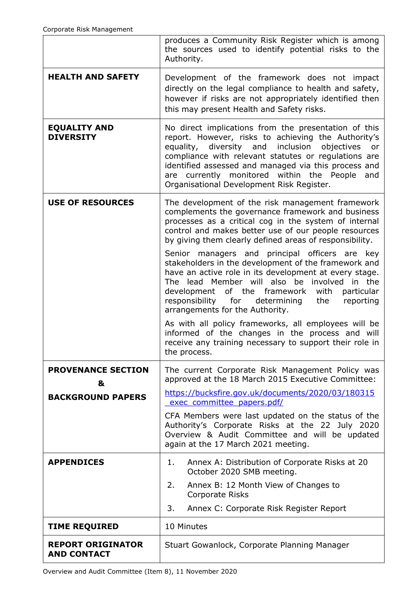|                                                | produces a Community Risk Register which is among<br>the sources used to identify potential risks to the<br>Authority.                                                                                                                                                                                                                                                                         |  |  |  |  |  |  |  |
|------------------------------------------------|------------------------------------------------------------------------------------------------------------------------------------------------------------------------------------------------------------------------------------------------------------------------------------------------------------------------------------------------------------------------------------------------|--|--|--|--|--|--|--|
| <b>HEALTH AND SAFETY</b>                       | Development of the framework does not impact<br>directly on the legal compliance to health and safety,<br>however if risks are not appropriately identified then<br>this may present Health and Safety risks.                                                                                                                                                                                  |  |  |  |  |  |  |  |
| <b>EQUALITY AND</b><br><b>DIVERSITY</b>        | No direct implications from the presentation of this<br>report. However, risks to achieving the Authority's<br>diversity and<br>inclusion<br>objectives<br>equality,<br>or<br>compliance with relevant statutes or regulations are<br>identified assessed and managed via this process and<br>currently monitored within the People<br>and<br>are<br>Organisational Development Risk Register. |  |  |  |  |  |  |  |
| <b>USE OF RESOURCES</b>                        | The development of the risk management framework<br>complements the governance framework and business<br>processes as a critical cog in the system of internal<br>control and makes better use of our people resources<br>by giving them clearly defined areas of responsibility.                                                                                                              |  |  |  |  |  |  |  |
|                                                | Senior managers and principal officers are key<br>stakeholders in the development of the framework and<br>have an active role in its development at every stage.<br>The lead Member will also be<br>involved<br>in the<br>development of the framework<br>with<br>particular<br>responsibility<br>for<br>determining<br>the<br>reporting<br>arrangements for the Authority.                    |  |  |  |  |  |  |  |
|                                                | As with all policy frameworks, all employees will be<br>informed of the changes in the process and will<br>receive any training necessary to support their role in<br>the process.                                                                                                                                                                                                             |  |  |  |  |  |  |  |
| <b>PROVENANCE SECTION</b><br>&                 | The current Corporate Risk Management Policy was<br>approved at the 18 March 2015 Executive Committee:<br>https://bucksfire.gov.uk/documents/2020/03/180315                                                                                                                                                                                                                                    |  |  |  |  |  |  |  |
| <b>BACKGROUND PAPERS</b>                       | exec committee papers.pdf/                                                                                                                                                                                                                                                                                                                                                                     |  |  |  |  |  |  |  |
|                                                | CFA Members were last updated on the status of the<br>Authority's Corporate Risks at the 22 July 2020<br>Overview & Audit Committee and will be updated<br>again at the 17 March 2021 meeting.                                                                                                                                                                                                 |  |  |  |  |  |  |  |
| <b>APPENDICES</b>                              | Annex A: Distribution of Corporate Risks at 20<br>1.<br>October 2020 SMB meeting.                                                                                                                                                                                                                                                                                                              |  |  |  |  |  |  |  |
|                                                | 2.<br>Annex B: 12 Month View of Changes to                                                                                                                                                                                                                                                                                                                                                     |  |  |  |  |  |  |  |
|                                                | Corporate Risks<br>3.<br>Annex C: Corporate Risk Register Report                                                                                                                                                                                                                                                                                                                               |  |  |  |  |  |  |  |
| <b>TIME REQUIRED</b>                           | 10 Minutes                                                                                                                                                                                                                                                                                                                                                                                     |  |  |  |  |  |  |  |
| <b>REPORT ORIGINATOR</b><br><b>AND CONTACT</b> | Stuart Gowanlock, Corporate Planning Manager                                                                                                                                                                                                                                                                                                                                                   |  |  |  |  |  |  |  |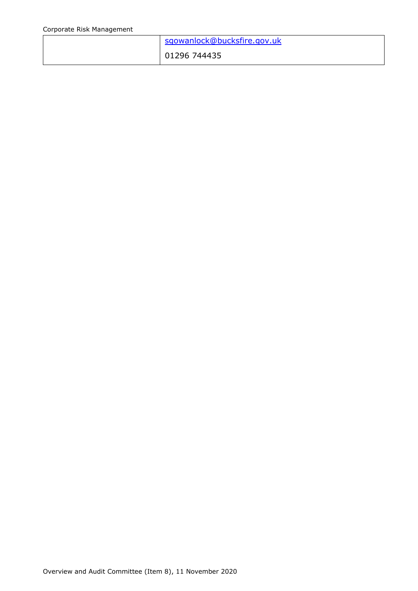| sgowanlock@bucksfire.gov.uk |
|-----------------------------|
| 01296 744435                |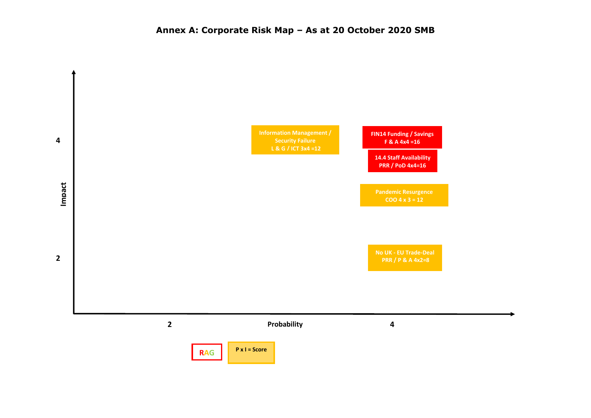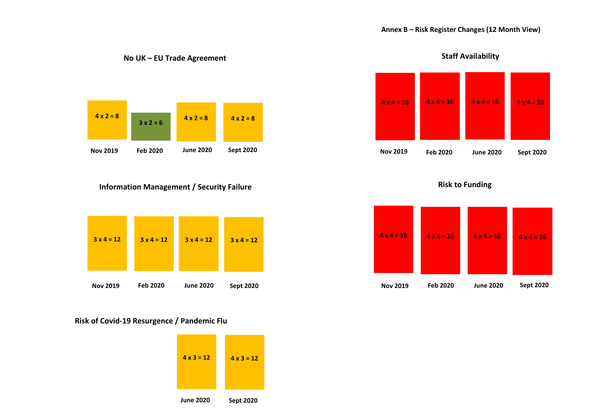

### **No UK – EU Trade Agreement**



#### **Information Management / Security Failure**



#### **Risk of Covid-19 Resurgence / Pandemic Flu**







**Staff Availability**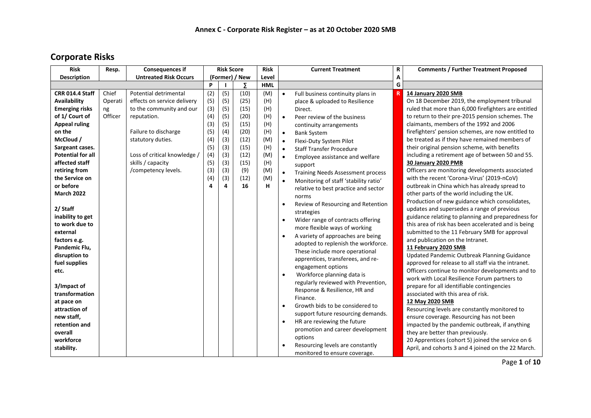## **Corporate Risks**

| <b>Risk</b>              | Resp.   | <b>Consequences if</b>       | <b>Risk Score</b> |     | <b>Risk</b> |            | <b>Current Treatment</b> | R                                        | <b>Comments / Further Treatment Proposed</b> |                                                      |
|--------------------------|---------|------------------------------|-------------------|-----|-------------|------------|--------------------------|------------------------------------------|----------------------------------------------|------------------------------------------------------|
| <b>Description</b>       |         | <b>Untreated Risk Occurs</b> | (Former) / New    |     | Level       |            |                          | А                                        |                                              |                                                      |
|                          |         |                              | P                 |     | Σ           | <b>HML</b> |                          |                                          | G                                            |                                                      |
| <b>CRR 014.4 Staff</b>   | Chief   | <b>Potential detrimental</b> | (2)               | (5) | (10)        | (M)        | $\bullet$                | Full business continuity plans in        |                                              | 14 January 2020 SMB                                  |
| Availability             | Operati | effects on service delivery  | (5)               | (5) | (25)        | (H)        |                          | place & uploaded to Resilience           |                                              | On 18 December 2019, the employment tribunal         |
| <b>Emerging risks</b>    | ng      | to the community and our     | (3)               | (5) | (15)        | (H)        |                          | Direct.                                  |                                              | ruled that more than 6,000 firefighters are entitled |
| of 1/ Court of           | Officer | reputation.                  | (4)               | (5) | (20)        | (H)        | $\bullet$                | Peer review of the business              |                                              | to return to their pre-2015 pension schemes. The     |
| <b>Appeal ruling</b>     |         |                              | (3)               | (5) | (15)        | (H)        |                          | continuity arrangements                  |                                              | claimants, members of the 1992 and 2006              |
| on the                   |         | Failure to discharge         | (5)               | (4) | (20)        | (H)        | $\bullet$                | <b>Bank System</b>                       |                                              | firefighters' pension schemes, are now entitled to   |
| McCloud /                |         | statutory duties.            | (4)               | (3) | (12)        | (M)        | $\bullet$                | Flexi-Duty System Pilot                  |                                              | be treated as if they have remained members of       |
| Sargeant cases.          |         |                              | (5)               | (3) | (15)        | (H)        | $\bullet$                | <b>Staff Transfer Procedure</b>          |                                              | their original pension scheme, with benefits         |
| <b>Potential for all</b> |         | Loss of critical knowledge / | (4)               | (3) | (12)        | (M)        | $\bullet$                | Employee assistance and welfare          |                                              | including a retirement age of between 50 and 55.     |
| affected staff           |         | skills / capacity            | (5)               | (3) | (15)        | (H)        |                          | support                                  |                                              | 30 January 2020 PMB                                  |
| retiring from            |         | /competency levels.          | (3)               | (3) | (9)         | (M)        | $\bullet$                | <b>Training Needs Assessment process</b> |                                              | Officers are monitoring developments associated      |
| the Service on           |         |                              | (4)               | (3) | (12)        | (M)        | $\bullet$                | Monitoring of staff 'stability ratio'    |                                              | with the recent 'Corona-Virus' (2019-nCoV)           |
| or before                |         |                              | 4                 | 4   | 16          | H          |                          | relative to best practice and sector     |                                              | outbreak in China which has already spread to        |
| <b>March 2022</b>        |         |                              |                   |     |             |            |                          | norms                                    |                                              | other parts of the world including the UK.           |
|                          |         |                              |                   |     |             |            | $\bullet$                | Review of Resourcing and Retention       |                                              | Production of new guidance which consolidates,       |
| 2/ Staff                 |         |                              |                   |     |             |            |                          | strategies                               |                                              | updates and supersedes a range of previous           |
| inability to get         |         |                              |                   |     |             |            | $\bullet$                | Wider range of contracts offering        |                                              | guidance relating to planning and preparedness for   |
| to work due to           |         |                              |                   |     |             |            |                          | more flexible ways of working            |                                              | this area of risk has been accelerated and is being  |
| external                 |         |                              |                   |     |             |            | $\bullet$                | A variety of approaches are being        |                                              | submitted to the 11 February SMB for approval        |
| factors e.g.             |         |                              |                   |     |             |            |                          | adopted to replenish the workforce.      |                                              | and publication on the Intranet.                     |
| Pandemic Flu,            |         |                              |                   |     |             |            |                          | These include more operational           |                                              | 11 February 2020 SMB                                 |
| disruption to            |         |                              |                   |     |             |            |                          | apprentices, transferees, and re-        |                                              | Updated Pandemic Outbreak Planning Guidance          |
| fuel supplies            |         |                              |                   |     |             |            |                          | engagement options                       |                                              | approved for release to all staff via the intranet.  |
| etc.                     |         |                              |                   |     |             |            | $\bullet$                | Workforce planning data is               |                                              | Officers continue to monitor developments and to     |
|                          |         |                              |                   |     |             |            |                          | regularly reviewed with Prevention,      |                                              | work with Local Resilience Forum partners to         |
| 3/Impact of              |         |                              |                   |     |             |            |                          | Response & Resilience, HR and            |                                              | prepare for all identifiable contingencies           |
| transformation           |         |                              |                   |     |             |            |                          | Finance.                                 |                                              | associated with this area of risk.                   |
| at pace on               |         |                              |                   |     |             |            | $\bullet$                | Growth bids to be considered to          |                                              | 12 May 2020 SMB                                      |
| attraction of            |         |                              |                   |     |             |            |                          | support future resourcing demands.       |                                              | Resourcing levels are constantly monitored to        |
| new staff,               |         |                              |                   |     |             |            | $\bullet$                | HR are reviewing the future              |                                              | ensure coverage. Resourcing has not been             |
| retention and            |         |                              |                   |     |             |            |                          |                                          |                                              | impacted by the pandemic outbreak, if anything       |
| overall                  |         |                              |                   |     |             |            |                          | promotion and career development         |                                              | they are better than previously.                     |
| workforce                |         |                              |                   |     |             |            |                          | options                                  |                                              | 20 Apprentices (cohort 5) joined the service on 6    |
| stability.               |         |                              |                   |     |             |            |                          | Resourcing levels are constantly         |                                              | April, and cohorts 3 and 4 joined on the 22 March.   |
|                          |         |                              |                   |     |             |            |                          | monitored to ensure coverage.            |                                              |                                                      |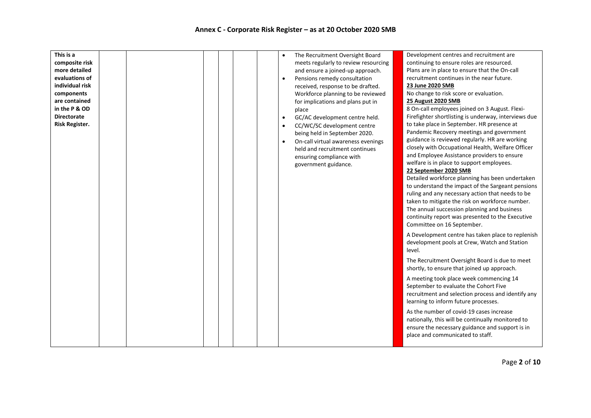| This is a             | The Recruitment Oversight Board                 | Development centres and recruitment are              |
|-----------------------|-------------------------------------------------|------------------------------------------------------|
| composite risk        | meets regularly to review resourcing            | continuing to ensure roles are resourced.            |
| more detailed         | and ensure a joined-up approach.                | Plans are in place to ensure that the On-call        |
| evaluations of        | Pensions remedy consultation<br>$\bullet$       | recruitment continues in the near future.            |
| individual risk       | received, response to be drafted.               | 23 June 2020 SMB                                     |
| components            | Workforce planning to be reviewed               | No change to risk score or evaluation.               |
| are contained         | for implications and plans put in               | 25 August 2020 SMB                                   |
| in the P & OD         | place                                           | 8 On-call employees joined on 3 August. Flexi-       |
| <b>Directorate</b>    | GC/AC development centre held.<br>$\bullet$     | Firefighter shortlisting is underway, interviews due |
| <b>Risk Register.</b> | CC/WC/SC development centre<br>$\bullet$        | to take place in September. HR presence at           |
|                       | being held in September 2020.                   | Pandemic Recovery meetings and government            |
|                       | On-call virtual awareness evenings<br>$\bullet$ | guidance is reviewed regularly. HR are working       |
|                       | held and recruitment continues                  | closely with Occupational Health, Welfare Officer    |
|                       | ensuring compliance with                        | and Employee Assistance providers to ensure          |
|                       | government guidance.                            | welfare is in place to support employees.            |
|                       |                                                 | 22 September 2020 SMB                                |
|                       |                                                 | Detailed workforce planning has been undertaken      |
|                       |                                                 | to understand the impact of the Sargeant pensions    |
|                       |                                                 | ruling and any necessary action that needs to be     |
|                       |                                                 | taken to mitigate the risk on workforce number.      |
|                       |                                                 | The annual succession planning and business          |
|                       |                                                 | continuity report was presented to the Executive     |
|                       |                                                 | Committee on 16 September.                           |
|                       |                                                 | A Development centre has taken place to replenish    |
|                       |                                                 |                                                      |
|                       |                                                 | development pools at Crew, Watch and Station         |
|                       |                                                 | level.                                               |
|                       |                                                 | The Recruitment Oversight Board is due to meet       |
|                       |                                                 | shortly, to ensure that joined up approach.          |
|                       |                                                 | A meeting took place week commencing 14              |
|                       |                                                 | September to evaluate the Cohort Five                |
|                       |                                                 | recruitment and selection process and identify any   |
|                       |                                                 | learning to inform future processes.                 |
|                       |                                                 |                                                      |
|                       |                                                 | As the number of covid-19 cases increase             |
|                       |                                                 | nationally, this will be continually monitored to    |
|                       |                                                 | ensure the necessary guidance and support is in      |
|                       |                                                 | place and communicated to staff.                     |
|                       |                                                 |                                                      |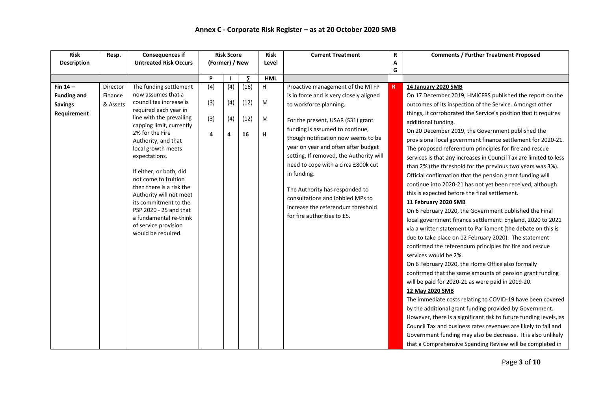| <b>Risk</b>        | Resp.    | <b>Consequences if</b>                                                                                                                                                                                                                                                                                                                                                                                                         | <b>Risk Score</b> |                 | <b>Risk</b>        | <b>Current Treatment</b> | R                                                                                                                                                                                                                                                                                                                                                                                             | <b>Comments / Further Treatment Proposed</b> |                                                                                                                                                                                                                                                                                                                                                                                                                                                                                                                                                                                                                                                                                                                                                                                                                                                                                                                                                                                                                                                                                                                        |
|--------------------|----------|--------------------------------------------------------------------------------------------------------------------------------------------------------------------------------------------------------------------------------------------------------------------------------------------------------------------------------------------------------------------------------------------------------------------------------|-------------------|-----------------|--------------------|--------------------------|-----------------------------------------------------------------------------------------------------------------------------------------------------------------------------------------------------------------------------------------------------------------------------------------------------------------------------------------------------------------------------------------------|----------------------------------------------|------------------------------------------------------------------------------------------------------------------------------------------------------------------------------------------------------------------------------------------------------------------------------------------------------------------------------------------------------------------------------------------------------------------------------------------------------------------------------------------------------------------------------------------------------------------------------------------------------------------------------------------------------------------------------------------------------------------------------------------------------------------------------------------------------------------------------------------------------------------------------------------------------------------------------------------------------------------------------------------------------------------------------------------------------------------------------------------------------------------------|
| <b>Description</b> |          | <b>Untreated Risk Occurs</b>                                                                                                                                                                                                                                                                                                                                                                                                   | (Former) / New    |                 | Level              |                          | A                                                                                                                                                                                                                                                                                                                                                                                             |                                              |                                                                                                                                                                                                                                                                                                                                                                                                                                                                                                                                                                                                                                                                                                                                                                                                                                                                                                                                                                                                                                                                                                                        |
|                    |          |                                                                                                                                                                                                                                                                                                                                                                                                                                |                   |                 |                    |                          |                                                                                                                                                                                                                                                                                                                                                                                               | G                                            |                                                                                                                                                                                                                                                                                                                                                                                                                                                                                                                                                                                                                                                                                                                                                                                                                                                                                                                                                                                                                                                                                                                        |
|                    |          |                                                                                                                                                                                                                                                                                                                                                                                                                                | P                 |                 | Σ                  | <b>HML</b>               |                                                                                                                                                                                                                                                                                                                                                                                               |                                              |                                                                                                                                                                                                                                                                                                                                                                                                                                                                                                                                                                                                                                                                                                                                                                                                                                                                                                                                                                                                                                                                                                                        |
| Fin $14-$          | Director | The funding settlement                                                                                                                                                                                                                                                                                                                                                                                                         | (4)               | (4)             | (16)               | H                        | Proactive management of the MTFP                                                                                                                                                                                                                                                                                                                                                              | R                                            | 14 January 2020 SMB                                                                                                                                                                                                                                                                                                                                                                                                                                                                                                                                                                                                                                                                                                                                                                                                                                                                                                                                                                                                                                                                                                    |
| <b>Funding and</b> | Finance  | now assumes that a                                                                                                                                                                                                                                                                                                                                                                                                             |                   |                 |                    |                          | is in force and is very closely aligned                                                                                                                                                                                                                                                                                                                                                       |                                              | On 17 December 2019, HMICFRS published the report on the                                                                                                                                                                                                                                                                                                                                                                                                                                                                                                                                                                                                                                                                                                                                                                                                                                                                                                                                                                                                                                                               |
| <b>Savings</b>     | & Assets |                                                                                                                                                                                                                                                                                                                                                                                                                                |                   |                 |                    |                          | to workforce planning.                                                                                                                                                                                                                                                                                                                                                                        |                                              | outcomes of its inspection of the Service. Amongst other                                                                                                                                                                                                                                                                                                                                                                                                                                                                                                                                                                                                                                                                                                                                                                                                                                                                                                                                                                                                                                                               |
| Requirement        |          | council tax increase is<br>required each year in<br>line with the prevailing<br>capping limit, currently<br>2% for the Fire<br>Authority, and that<br>local growth meets<br>expectations.<br>If either, or both, did<br>not come to fruition<br>then there is a risk the<br>Authority will not meet<br>its commitment to the<br>PSP 2020 - 25 and that<br>a fundamental re-think<br>of service provision<br>would be required. | (3)<br>(3)<br>4   | (4)<br>(4)<br>4 | (12)<br>(12)<br>16 | M<br>M<br>н              | For the present, USAR (S31) grant<br>funding is assumed to continue,<br>though notification now seems to be<br>year on year and often after budget<br>setting. If removed, the Authority will<br>need to cope with a circa £800k cut<br>in funding.<br>The Authority has responded to<br>consultations and lobbied MPs to<br>increase the referendum threshold<br>for fire authorities to £5. |                                              | things, it corroborated the Service's position that it requires<br>additional funding.<br>On 20 December 2019, the Government published the<br>provisional local government finance settlement for 2020-21.<br>The proposed referendum principles for fire and rescue<br>services is that any increases in Council Tax are limited to less<br>than 2% (the threshold for the previous two years was 3%).<br>Official confirmation that the pension grant funding will<br>continue into 2020-21 has not yet been received, although<br>this is expected before the final settlement.<br>11 February 2020 SMB<br>On 6 February 2020, the Government published the Final<br>local government finance settlement: England, 2020 to 2021<br>via a written statement to Parliament (the debate on this is<br>due to take place on 12 February 2020). The statement<br>confirmed the referendum principles for fire and rescue<br>services would be 2%.<br>On 6 February 2020, the Home Office also formally<br>confirmed that the same amounts of pension grant funding<br>will be paid for 2020-21 as were paid in 2019-20. |
|                    |          |                                                                                                                                                                                                                                                                                                                                                                                                                                |                   |                 |                    |                          |                                                                                                                                                                                                                                                                                                                                                                                               |                                              | 12 May 2020 SMB                                                                                                                                                                                                                                                                                                                                                                                                                                                                                                                                                                                                                                                                                                                                                                                                                                                                                                                                                                                                                                                                                                        |
|                    |          |                                                                                                                                                                                                                                                                                                                                                                                                                                |                   |                 |                    |                          |                                                                                                                                                                                                                                                                                                                                                                                               |                                              | The immediate costs relating to COVID-19 have been covered                                                                                                                                                                                                                                                                                                                                                                                                                                                                                                                                                                                                                                                                                                                                                                                                                                                                                                                                                                                                                                                             |
|                    |          |                                                                                                                                                                                                                                                                                                                                                                                                                                |                   |                 |                    |                          |                                                                                                                                                                                                                                                                                                                                                                                               |                                              | by the additional grant funding provided by Government.                                                                                                                                                                                                                                                                                                                                                                                                                                                                                                                                                                                                                                                                                                                                                                                                                                                                                                                                                                                                                                                                |
|                    |          |                                                                                                                                                                                                                                                                                                                                                                                                                                |                   |                 |                    |                          |                                                                                                                                                                                                                                                                                                                                                                                               |                                              | However, there is a significant risk to future funding levels, as                                                                                                                                                                                                                                                                                                                                                                                                                                                                                                                                                                                                                                                                                                                                                                                                                                                                                                                                                                                                                                                      |
|                    |          |                                                                                                                                                                                                                                                                                                                                                                                                                                |                   |                 |                    |                          |                                                                                                                                                                                                                                                                                                                                                                                               |                                              | Council Tax and business rates revenues are likely to fall and                                                                                                                                                                                                                                                                                                                                                                                                                                                                                                                                                                                                                                                                                                                                                                                                                                                                                                                                                                                                                                                         |
|                    |          |                                                                                                                                                                                                                                                                                                                                                                                                                                |                   |                 |                    |                          |                                                                                                                                                                                                                                                                                                                                                                                               |                                              | Government funding may also be decrease. It is also unlikely                                                                                                                                                                                                                                                                                                                                                                                                                                                                                                                                                                                                                                                                                                                                                                                                                                                                                                                                                                                                                                                           |
|                    |          |                                                                                                                                                                                                                                                                                                                                                                                                                                |                   |                 |                    |                          |                                                                                                                                                                                                                                                                                                                                                                                               |                                              | that a Comprehensive Spending Review will be completed in                                                                                                                                                                                                                                                                                                                                                                                                                                                                                                                                                                                                                                                                                                                                                                                                                                                                                                                                                                                                                                                              |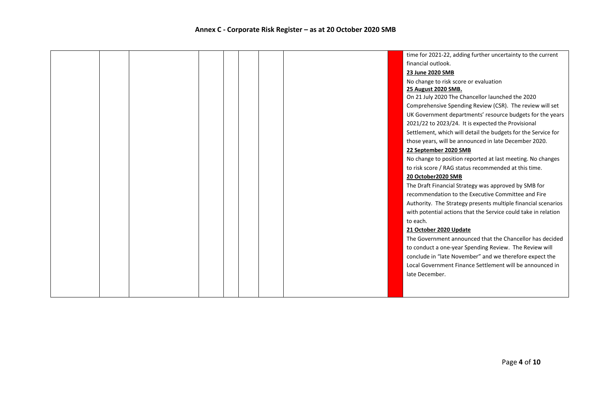|  |  |  |  | time for 2021-22, adding further uncertainty to the current    |
|--|--|--|--|----------------------------------------------------------------|
|  |  |  |  | financial outlook.                                             |
|  |  |  |  | 23 June 2020 SMB                                               |
|  |  |  |  | No change to risk score or evaluation                          |
|  |  |  |  | 25 August 2020 SMB.                                            |
|  |  |  |  | On 21 July 2020 The Chancellor launched the 2020               |
|  |  |  |  | Comprehensive Spending Review (CSR). The review will set       |
|  |  |  |  | UK Government departments' resource budgets for the years      |
|  |  |  |  | 2021/22 to 2023/24. It is expected the Provisional             |
|  |  |  |  | Settlement, which will detail the budgets for the Service for  |
|  |  |  |  | those years, will be announced in late December 2020.          |
|  |  |  |  | 22 September 2020 SMB                                          |
|  |  |  |  | No change to position reported at last meeting. No changes     |
|  |  |  |  | to risk score / RAG status recommended at this time.           |
|  |  |  |  | 20 October2020 SMB                                             |
|  |  |  |  | The Draft Financial Strategy was approved by SMB for           |
|  |  |  |  | recommendation to the Executive Committee and Fire             |
|  |  |  |  | Authority. The Strategy presents multiple financial scenarios  |
|  |  |  |  | with potential actions that the Service could take in relation |
|  |  |  |  | to each.                                                       |
|  |  |  |  | 21 October 2020 Update                                         |
|  |  |  |  | The Government announced that the Chancellor has decided       |
|  |  |  |  | to conduct a one-year Spending Review. The Review will         |
|  |  |  |  | conclude in "late November" and we therefore expect the        |
|  |  |  |  | Local Government Finance Settlement will be announced in       |
|  |  |  |  | late December.                                                 |
|  |  |  |  |                                                                |
|  |  |  |  |                                                                |
|  |  |  |  |                                                                |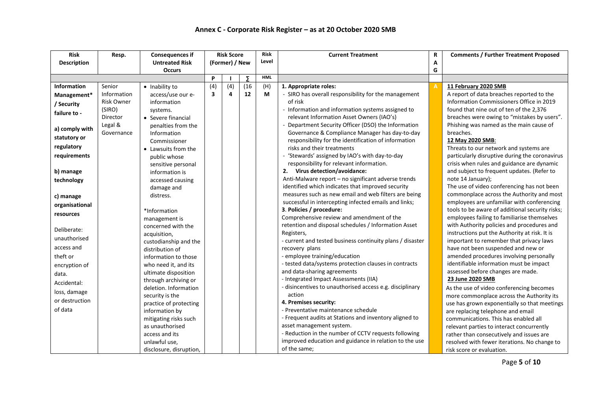| <b>Risk</b>        | Resp.             | <b>Consequences if</b>  |                         | <b>Risk Score</b> |      | <b>Risk</b> | <b>Current Treatment</b>                                  | R              | <b>Comments / Further Treatment Proposed</b>    |
|--------------------|-------------------|-------------------------|-------------------------|-------------------|------|-------------|-----------------------------------------------------------|----------------|-------------------------------------------------|
| <b>Description</b> |                   | <b>Untreated Risk</b>   |                         | (Former) / New    |      | Level       |                                                           | Α              |                                                 |
|                    |                   | <b>Occurs</b>           |                         |                   |      |             |                                                           | G              |                                                 |
|                    |                   |                         | P                       |                   | Σ    | <b>HML</b>  |                                                           |                |                                                 |
| <b>Information</b> | Senior            | • Inability to          | (4)                     | (4)               | (16) | (H)         | 1. Appropriate roles:                                     | $\overline{A}$ | 11 February 2020 SMB                            |
| Management*        | Information       | access/use our e-       | $\overline{\mathbf{3}}$ | 4                 | 12   | М           | - SIRO has overall responsibility for the management      |                | A report of data breaches reported to the       |
| / Security         | <b>Risk Owner</b> | information             |                         |                   |      |             | of risk                                                   |                | Information Commissioners Office in 2019        |
|                    | (SIRO)            | systems.                |                         |                   |      |             | - Information and information systems assigned to         |                | found that nine out of ten of the 2,376         |
| failure to -       | Director          | • Severe financial      |                         |                   |      |             | relevant Information Asset Owners (IAO's)                 |                | breaches were owing to "mistakes by users".     |
|                    | Legal &           | penalties from the      |                         |                   |      |             | - Department Security Officer (DSO) the Information       |                | Phishing was named as the main cause of         |
| a) comply with     | Governance        | Information             |                         |                   |      |             | Governance & Compliance Manager has day-to-day            |                | breaches.                                       |
| statutory or       |                   | Commissioner            |                         |                   |      |             | responsibility for the identification of information      |                | 12 May 2020 SMB:                                |
| regulatory         |                   | • Lawsuits from the     |                         |                   |      |             | risks and their treatments                                |                | Threats to our network and systems are          |
| requirements       |                   | public whose            |                         |                   |      |             | - 'Stewards' assigned by IAO's with day-to-day            |                | particularly disruptive during the coronavirus  |
|                    |                   | sensitive personal      |                         |                   |      |             | responsibility for relevant information.                  |                | crisis when rules and guidance are dynamic      |
| b) manage          |                   | information is          |                         |                   |      |             | 2. Virus detection/avoidance:                             |                | and subject to frequent updates. (Refer to      |
| technology         |                   | accessed causing        |                         |                   |      |             | Anti-Malware report - no significant adverse trends       |                | note 14 January);                               |
|                    |                   | damage and              |                         |                   |      |             | identified which indicates that improved security         |                | The use of video conferencing has not been      |
| c) manage          |                   | distress.               |                         |                   |      |             | measures such as new email and web filters are being      |                | commonplace across the Authority and most       |
|                    |                   |                         |                         |                   |      |             | successful in intercepting infected emails and links;     |                | employees are unfamiliar with conferencing      |
| organisational     |                   | *Information            |                         |                   |      |             | 3. Policies / procedure:                                  |                | tools to be aware of additional security risks; |
| resources          |                   | management is           |                         |                   |      |             | Comprehensive review and amendment of the                 |                | employees failing to familiarise themselves     |
|                    |                   | concerned with the      |                         |                   |      |             | retention and disposal schedules / Information Asset      |                | with Authority policies and procedures and      |
| Deliberate:        |                   | acquisition,            |                         |                   |      |             | Registers,                                                |                | instructions put the Authority at risk. It is   |
| unauthorised       |                   | custodianship and the   |                         |                   |      |             | - current and tested business continuity plans / disaster |                | important to remember that privacy laws         |
| access and         |                   | distribution of         |                         |                   |      |             | recovery plans                                            |                | have not been suspended and new or              |
| theft or           |                   | information to those    |                         |                   |      |             | - employee training/education                             |                | amended procedures involving personally         |
| encryption of      |                   | who need it, and its    |                         |                   |      |             | - tested data/systems protection clauses in contracts     |                | identifiable information must be impact         |
| data.              |                   | ultimate disposition    |                         |                   |      |             | and data-sharing agreements                               |                | assessed before changes are made.               |
| Accidental:        |                   | through archiving or    |                         |                   |      |             | - Integrated Impact Assessments (IIA)                     |                | 23 June 2020 SMB                                |
|                    |                   | deletion. Information   |                         |                   |      |             | disincentives to unauthorised access e.g. disciplinary    |                | As the use of video conferencing becomes        |
| loss, damage       |                   | security is the         |                         |                   |      |             | action                                                    |                | more commonplace across the Authority its       |
| or destruction     |                   | practice of protecting  |                         |                   |      |             | 4. Premises security:                                     |                | use has grown exponentially so that meetings    |
| of data            |                   | information by          |                         |                   |      |             | - Preventative maintenance schedule                       |                | are replacing telephone and email               |
|                    |                   | mitigating risks such   |                         |                   |      |             | - Frequent audits at Stations and inventory aligned to    |                | communications. This has enabled all            |
|                    |                   | as unauthorised         |                         |                   |      |             | asset management system.                                  |                | relevant parties to interact concurrently       |
|                    |                   | access and its          |                         |                   |      |             | - Reduction in the number of CCTV requests following      |                | rather than consecutively and issues are        |
|                    |                   | unlawful use,           |                         |                   |      |             | improved education and guidance in relation to the use    |                | resolved with fewer iterations. No change to    |
|                    |                   | disclosure, disruption, |                         |                   |      |             | of the same;                                              |                | risk score or evaluation.                       |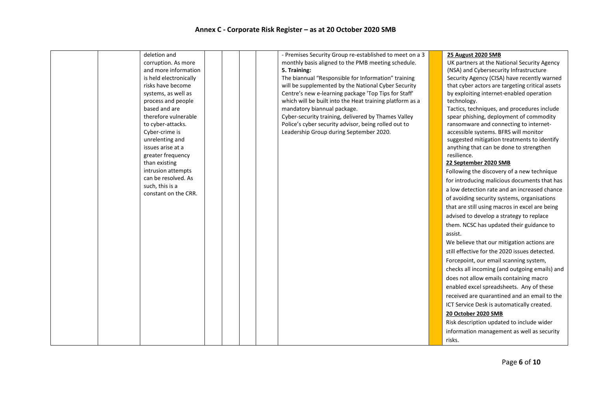| deletion and                            |  | - Premises Security Group re-established to meet on a 3  | 25 August 2020 SMB                              |
|-----------------------------------------|--|----------------------------------------------------------|-------------------------------------------------|
| corruption. As more                     |  | monthly basis aligned to the PMB meeting schedule.       | UK partners at the National Security Agency     |
| and more information                    |  | 5. Training:                                             | (NSA) and Cybersecurity Infrastructure          |
| is held electronically                  |  | The biannual "Responsible for Information" training      | Security Agency (CISA) have recently warned     |
| risks have become                       |  | will be supplemented by the National Cyber Security      | that cyber actors are targeting critical assets |
| systems, as well as                     |  | Centre's new e-learning package 'Top Tips for Staff'     | by exploiting internet-enabled operation        |
| process and people                      |  | which will be built into the Heat training platform as a | technology.                                     |
| based and are                           |  | mandatory biannual package.                              | Tactics, techniques, and procedures include     |
| therefore vulnerable                    |  | Cyber-security training, delivered by Thames Valley      | spear phishing, deployment of commodity         |
| to cyber-attacks.                       |  | Police's cyber security advisor, being rolled out to     | ransomware and connecting to internet-          |
| Cyber-crime is                          |  | Leadership Group during September 2020.                  | accessible systems. BFRS will monitor           |
| unrelenting and                         |  |                                                          | suggested mitigation treatments to identify     |
| issues arise at a                       |  |                                                          | anything that can be done to strengthen         |
| greater frequency                       |  |                                                          | resilience.                                     |
| than existing                           |  |                                                          | 22 September 2020 SMB                           |
| intrusion attempts                      |  |                                                          | Following the discovery of a new technique      |
| can be resolved. As                     |  |                                                          | for introducing malicious documents that has    |
| such, this is a<br>constant on the CRR. |  |                                                          | a low detection rate and an increased chance    |
|                                         |  |                                                          | of avoiding security systems, organisations     |
|                                         |  |                                                          | that are still using macros in excel are being  |
|                                         |  |                                                          | advised to develop a strategy to replace        |
|                                         |  |                                                          | them. NCSC has updated their guidance to        |
|                                         |  |                                                          | assist.                                         |
|                                         |  |                                                          | We believe that our mitigation actions are      |
|                                         |  |                                                          | still effective for the 2020 issues detected.   |
|                                         |  |                                                          | Forcepoint, our email scanning system,          |
|                                         |  |                                                          | checks all incoming (and outgoing emails) and   |
|                                         |  |                                                          | does not allow emails containing macro          |
|                                         |  |                                                          | enabled excel spreadsheets. Any of these        |
|                                         |  |                                                          | received are quarantined and an email to the    |
|                                         |  |                                                          | ICT Service Desk is automatically created.      |
|                                         |  |                                                          | 20 October 2020 SMB                             |
|                                         |  |                                                          | Risk description updated to include wider       |
|                                         |  |                                                          | information management as well as security      |
|                                         |  |                                                          | risks.                                          |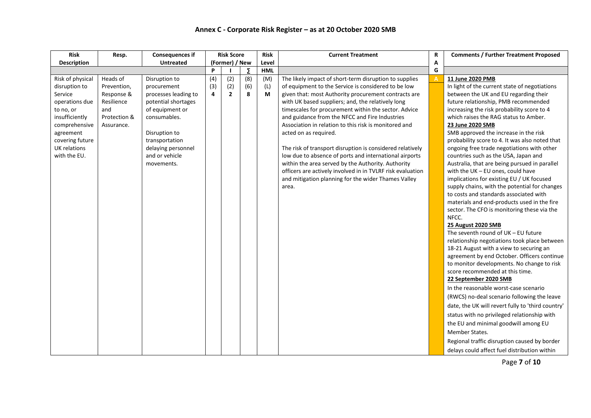| <b>Risk</b>                                                                                                                                                                           | Resp.                                                                                    | <b>Consequences if</b>                                                                                                                                                                                  |                 | <b>Risk Score</b>            |                 | <b>Risk</b>     | <b>Current Treatment</b>                                                                                                                                                                                                                                                                                                                                                                                                                                                                                                                                                                                                                                                                                                          | $\mathbf R$    | <b>Comments / Further Treatment Proposed</b>                                                                                                                                                                                                                                                                                                                                                                                                                                                                                                                                                                                                                                                                                                                                                                                                                                                                                                                                                                                                                                                                                                                                                                                                                                                                                                                                                                                                                   |
|---------------------------------------------------------------------------------------------------------------------------------------------------------------------------------------|------------------------------------------------------------------------------------------|---------------------------------------------------------------------------------------------------------------------------------------------------------------------------------------------------------|-----------------|------------------------------|-----------------|-----------------|-----------------------------------------------------------------------------------------------------------------------------------------------------------------------------------------------------------------------------------------------------------------------------------------------------------------------------------------------------------------------------------------------------------------------------------------------------------------------------------------------------------------------------------------------------------------------------------------------------------------------------------------------------------------------------------------------------------------------------------|----------------|----------------------------------------------------------------------------------------------------------------------------------------------------------------------------------------------------------------------------------------------------------------------------------------------------------------------------------------------------------------------------------------------------------------------------------------------------------------------------------------------------------------------------------------------------------------------------------------------------------------------------------------------------------------------------------------------------------------------------------------------------------------------------------------------------------------------------------------------------------------------------------------------------------------------------------------------------------------------------------------------------------------------------------------------------------------------------------------------------------------------------------------------------------------------------------------------------------------------------------------------------------------------------------------------------------------------------------------------------------------------------------------------------------------------------------------------------------------|
| <b>Description</b>                                                                                                                                                                    | <b>Untreated</b>                                                                         |                                                                                                                                                                                                         |                 | (Former) / New               |                 | Level           |                                                                                                                                                                                                                                                                                                                                                                                                                                                                                                                                                                                                                                                                                                                                   | А              |                                                                                                                                                                                                                                                                                                                                                                                                                                                                                                                                                                                                                                                                                                                                                                                                                                                                                                                                                                                                                                                                                                                                                                                                                                                                                                                                                                                                                                                                |
|                                                                                                                                                                                       |                                                                                          |                                                                                                                                                                                                         | P               |                              | Σ               | <b>HML</b>      |                                                                                                                                                                                                                                                                                                                                                                                                                                                                                                                                                                                                                                                                                                                                   | G              |                                                                                                                                                                                                                                                                                                                                                                                                                                                                                                                                                                                                                                                                                                                                                                                                                                                                                                                                                                                                                                                                                                                                                                                                                                                                                                                                                                                                                                                                |
| Risk of physical<br>disruption to<br>Service<br>operations due<br>to no, or<br>insufficiently<br>comprehensive<br>agreement<br>covering future<br><b>UK relations</b><br>with the EU. | Heads of<br>Prevention,<br>Response &<br>Resilience<br>and<br>Protection &<br>Assurance. | Disruption to<br>procurement<br>processes leading to<br>potential shortages<br>of equipment or<br>consumables.<br>Disruption to<br>transportation<br>delaying personnel<br>and or vehicle<br>movements. | (4)<br>(3)<br>4 | (2)<br>(2)<br>$\overline{2}$ | (8)<br>(6)<br>8 | (M)<br>(L)<br>M | The likely impact of short-term disruption to supplies<br>of equipment to the Service is considered to be low<br>given that: most Authority procurement contracts are<br>with UK based suppliers; and, the relatively long<br>timescales for procurement within the sector. Advice<br>and guidance from the NFCC and Fire Industries<br>Association in relation to this risk is monitored and<br>acted on as required.<br>The risk of transport disruption is considered relatively<br>low due to absence of ports and international airports<br>within the area served by the Authority. Authority<br>officers are actively involved in in TVLRF risk evaluation<br>and mitigation planning for the wider Thames Valley<br>area. | $\overline{A}$ | 11 June 2020 PMB<br>In light of the current state of negotiations<br>between the UK and EU regarding their<br>future relationship, PMB recommended<br>increasing the risk probability score to 4<br>which raises the RAG status to Amber.<br>23 June 2020 SMB<br>SMB approved the increase in the risk<br>probability score to 4. It was also noted that<br>ongoing free trade negotiations with other<br>countries such as the USA, Japan and<br>Australia, that are being pursued in parallel<br>with the $UK$ – EU ones, could have<br>implications for existing EU / UK focused<br>supply chains, with the potential for changes<br>to costs and standards associated with<br>materials and end-products used in the fire<br>sector. The CFO is monitoring these via the<br>NFCC.<br>25 August 2020 SMB<br>The seventh round of $UK$ – EU future<br>relationship negotiations took place between<br>18-21 August with a view to securing an<br>agreement by end October. Officers continue<br>to monitor developments. No change to risk<br>score recommended at this time.<br>22 September 2020 SMB<br>In the reasonable worst-case scenario<br>(RWCS) no-deal scenario following the leave<br>date, the UK will revert fully to 'third country'<br>status with no privileged relationship with<br>the EU and minimal goodwill among EU<br>Member States.<br>Regional traffic disruption caused by border<br>delays could affect fuel distribution within |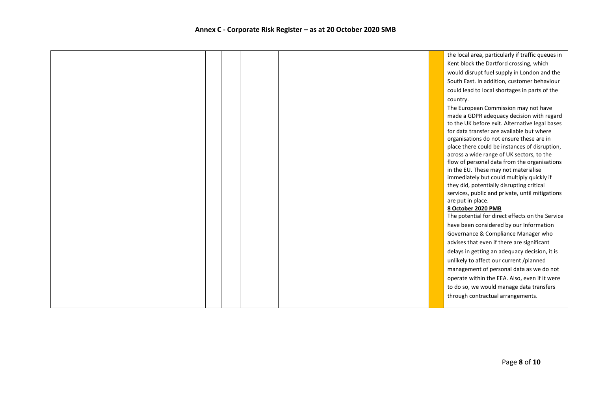|  |  |  |  | the local area, particularly if traffic queues in                                         |
|--|--|--|--|-------------------------------------------------------------------------------------------|
|  |  |  |  | Kent block the Dartford crossing, which                                                   |
|  |  |  |  | would disrupt fuel supply in London and the                                               |
|  |  |  |  | South East. In addition, customer behaviour                                               |
|  |  |  |  | could lead to local shortages in parts of the                                             |
|  |  |  |  | country.                                                                                  |
|  |  |  |  | The European Commission may not have                                                      |
|  |  |  |  | made a GDPR adequacy decision with regard                                                 |
|  |  |  |  | to the UK before exit. Alternative legal bases                                            |
|  |  |  |  | for data transfer are available but where                                                 |
|  |  |  |  | organisations do not ensure these are in<br>place there could be instances of disruption, |
|  |  |  |  | across a wide range of UK sectors, to the                                                 |
|  |  |  |  | flow of personal data from the organisations                                              |
|  |  |  |  | in the EU. These may not materialise                                                      |
|  |  |  |  | immediately but could multiply quickly if                                                 |
|  |  |  |  | they did, potentially disrupting critical                                                 |
|  |  |  |  | services, public and private, until mitigations                                           |
|  |  |  |  | are put in place.<br>8 October 2020 PMB                                                   |
|  |  |  |  | The potential for direct effects on the Service                                           |
|  |  |  |  | have been considered by our Information                                                   |
|  |  |  |  | Governance & Compliance Manager who                                                       |
|  |  |  |  | advises that even if there are significant                                                |
|  |  |  |  | delays in getting an adequacy decision, it is                                             |
|  |  |  |  | unlikely to affect our current /planned                                                   |
|  |  |  |  | management of personal data as we do not                                                  |
|  |  |  |  | operate within the EEA. Also, even if it were                                             |
|  |  |  |  | to do so, we would manage data transfers                                                  |
|  |  |  |  | through contractual arrangements.                                                         |
|  |  |  |  |                                                                                           |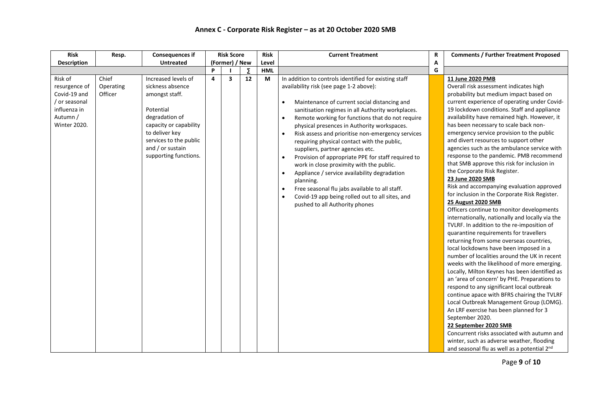#### **Annex C - Corporate Risk Register – as at 20 October 2020 SMB**

| <b>Risk</b>                                                                                                  | Resp.                         | <b>Consequences if</b>                                                                                                                                                                                      | <b>Risk Score</b> |                         | <b>Risk</b> | <b>Current Treatment</b> | $\mathbf R$                                                                                                                                                                                                                                                                                                                                                                                                                                                                                                                                                                                                                                                                                                                                                                                                                                       | <b>Comments / Further Treatment Proposed</b> |                                                                                                                                                                                                                                                                                                                                                                                                                                                                                                                                                                                                                                                                                                                                                                                                                                                                                                                                                                                                                                                                                                                                                                                                                                                                                                                                                                                                                                                                                                                                                          |
|--------------------------------------------------------------------------------------------------------------|-------------------------------|-------------------------------------------------------------------------------------------------------------------------------------------------------------------------------------------------------------|-------------------|-------------------------|-------------|--------------------------|---------------------------------------------------------------------------------------------------------------------------------------------------------------------------------------------------------------------------------------------------------------------------------------------------------------------------------------------------------------------------------------------------------------------------------------------------------------------------------------------------------------------------------------------------------------------------------------------------------------------------------------------------------------------------------------------------------------------------------------------------------------------------------------------------------------------------------------------------|----------------------------------------------|----------------------------------------------------------------------------------------------------------------------------------------------------------------------------------------------------------------------------------------------------------------------------------------------------------------------------------------------------------------------------------------------------------------------------------------------------------------------------------------------------------------------------------------------------------------------------------------------------------------------------------------------------------------------------------------------------------------------------------------------------------------------------------------------------------------------------------------------------------------------------------------------------------------------------------------------------------------------------------------------------------------------------------------------------------------------------------------------------------------------------------------------------------------------------------------------------------------------------------------------------------------------------------------------------------------------------------------------------------------------------------------------------------------------------------------------------------------------------------------------------------------------------------------------------------|
| <b>Description</b>                                                                                           |                               | <b>Untreated</b>                                                                                                                                                                                            | (Former) / New    |                         | Level       |                          | A                                                                                                                                                                                                                                                                                                                                                                                                                                                                                                                                                                                                                                                                                                                                                                                                                                                 |                                              |                                                                                                                                                                                                                                                                                                                                                                                                                                                                                                                                                                                                                                                                                                                                                                                                                                                                                                                                                                                                                                                                                                                                                                                                                                                                                                                                                                                                                                                                                                                                                          |
|                                                                                                              |                               |                                                                                                                                                                                                             | P                 |                         | Σ           | <b>HML</b>               |                                                                                                                                                                                                                                                                                                                                                                                                                                                                                                                                                                                                                                                                                                                                                                                                                                                   | G                                            |                                                                                                                                                                                                                                                                                                                                                                                                                                                                                                                                                                                                                                                                                                                                                                                                                                                                                                                                                                                                                                                                                                                                                                                                                                                                                                                                                                                                                                                                                                                                                          |
| Risk of<br>resurgence of<br>Covid-19 and<br>/ or seasonal<br>influenza in<br>Autumn /<br><b>Winter 2020.</b> | Chief<br>Operating<br>Officer | Increased levels of<br>sickness absence<br>amongst staff.<br>Potential<br>degradation of<br>capacity or capability<br>to deliver key<br>services to the public<br>and / or sustain<br>supporting functions. | $\Delta$          | $\overline{\mathbf{3}}$ | 12          | M                        | In addition to controls identified for existing staff<br>availability risk (see page 1-2 above):<br>Maintenance of current social distancing and<br>$\bullet$<br>sanitisation regimes in all Authority workplaces.<br>Remote working for functions that do not require<br>$\bullet$<br>physical presences in Authority workspaces.<br>Risk assess and prioritise non-emergency services<br>$\bullet$<br>requiring physical contact with the public,<br>suppliers, partner agencies etc.<br>Provision of appropriate PPE for staff required to<br>$\bullet$<br>work in close proximity with the public.<br>$\bullet$<br>Appliance / service availability degradation<br>planning.<br>Free seasonal flu jabs available to all staff.<br>$\bullet$<br>Covid-19 app being rolled out to all sites, and<br>$\bullet$<br>pushed to all Authority phones |                                              | 11 June 2020 PMB<br>Overall risk assessment indicates high<br>probability but medium impact based on<br>current experience of operating under Covid-<br>19 lockdown conditions. Staff and appliance<br>availability have remained high. However, it<br>has been necessary to scale back non-<br>emergency service provision to the public<br>and divert resources to support other<br>agencies such as the ambulance service with<br>response to the pandemic. PMB recommend<br>that SMB approve this risk for inclusion in<br>the Corporate Risk Register.<br>23 June 2020 SMB<br>Risk and accompanying evaluation approved<br>for inclusion in the Corporate Risk Register.<br>25 August 2020 SMB<br>Officers continue to monitor developments<br>internationally, nationally and locally via the<br>TVLRF. In addition to the re-imposition of<br>quarantine requirements for travellers<br>returning from some overseas countries,<br>local lockdowns have been imposed in a<br>number of localities around the UK in recent<br>weeks with the likelihood of more emerging.<br>Locally, Milton Keynes has been identified as<br>an 'area of concern' by PHE. Preparations to<br>respond to any significant local outbreak<br>continue apace with BFRS chairing the TVLRF<br>Local Outbreak Management Group (LOMG).<br>An LRF exercise has been planned for 3<br>September 2020.<br>22 September 2020 SMB<br>Concurrent risks associated with autumn and<br>winter, such as adverse weather, flooding<br>and seasonal flu as well as a potential 2nd |